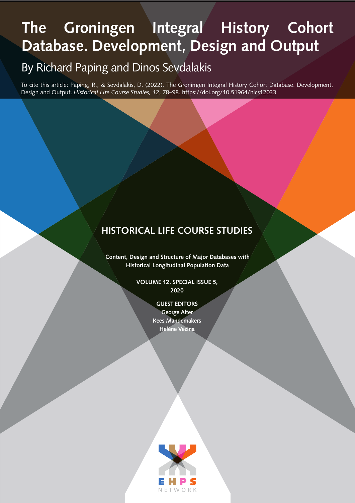# **The Groningen Integral History Cohort Database. Development, Design and Output**

# By Richard Paping and Dinos Sevdalakis

To cite this article: Paping, R., & Sevdalakis, D. (2022). The Groningen Integral History Cohort Database. Development, Design and Output. *Historical Life Course Studies, 12*, 78–98. https://doi.org/10.51964/hlcs12033

## **HISTORICAL LIFE COURSE STUDIES**

**Content, Design and Structure of Major Databases with Historical Longitudinal Population Data**

> **VOLUME 12, SPECIAL ISSUE 5, 2020**

> > **GUEST EDITORS George Alter Kees Mandemakers Hélène Vézina**

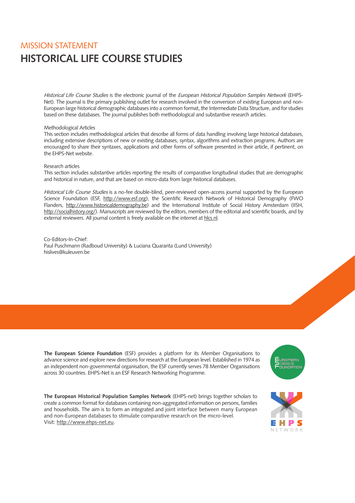## **HISTORICAL LIFE COURSE STUDIES** MISSION STATEMENT

Historical Life Course Studies is the electronic journal of the European Historical Population Samples Network (EHPS-Net). The journal is the primary publishing outlet for research involved in the conversion of existing European and non-European large historical demographic databases into a common format, the Intermediate Data Structure, and for studies based on these databases. The journal publishes both methodological and substantive research articles.

#### Methodological Articles

This section includes methodological articles that describe all forms of data handling involving large historical databases, including extensive descriptions of new or existing databases, syntax, algorithms and extraction programs. Authors are encouraged to share their syntaxes, applications and other forms of software presented in their article, if pertinent, on the EHPS-Net website.

#### Research articles

This section includes substantive articles reporting the results of comparative longitudinal studies that are demographic and historical in nature, and that are based on micro-data from large historical databases.

Historical Life Course Studies is a no-fee double-blind, peer-reviewed open-access journal supported by the European Science Foundation (ESF, [http://www.esf.org\)](http://www.esf.org), the Scientific Research Network of Historical Demography (FWO Flanders, [http://www.historicaldemography.be\)](http://www.historicaldemography.be) and the International Institute of Social History Amsterdam (IISH, <http://socialhistory.org/>). Manuscripts are reviewed by the editors, members of the editorial and scientific boards, and by external reviewers. All journal content is freely available on the internet at [hlcs.nl.](https://hlcs.nl/)

Co-Editors-In-Chief: Paul Puschmann (Radboud University) & Luciana Quaranta (Lund University) hislives@kuleuven.be

**The European Science Foundation** (ESF) provides a platform for its Member Organisations to advance science and explore new directions for research at the European level. Established in 1974 as an independent non-governmental organisation, the ESF currently serves 78 Member Organisations across 30 countries. EHPS-Net is an ESF Research Networking Programme.

**The European Historical Population Samples Network** (EHPS-net) brings together scholars to create a common format for databases containing non-aggregated information on persons, families and households. The aim is to form an integrated and joint interface between many European and non-European databases to stimulate comparative research on the micro-level. Visit: [http://www.ehps-net.eu.](http://www.ehps-net.eu)



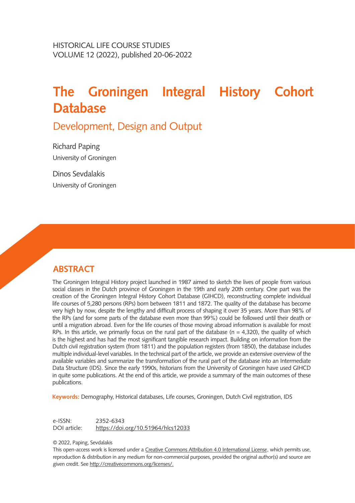# **The Groningen Integral History Cohort Database**

Development, Design and Output

Richard Paping University of Groningen

Dinos Sevdalakis University of Groningen

## **ABSTRACT**

The Groningen Integral History project launched in 1987 aimed to sketch the lives of people from various social classes in the Dutch province of Groningen in the 19th and early 20th century. One part was the creation of the Groningen Integral History Cohort Database (GIHCD), reconstructing complete individual life courses of 5,280 persons (RPs) born between 1811 and 1872. The quality of the database has become very high by now, despite the lengthy and difficult process of shaping it over 35 years. More than 98% of the RPs (and for some parts of the database even more than 99%) could be followed until their death or until a migration abroad. Even for the life courses of those moving abroad information is available for most RPs. In this article, we primarily focus on the rural part of the database ( $n = 4.320$ ), the quality of which is the highest and has had the most significant tangible research impact. Building on information from the Dutch civil registration system (from 1811) and the population registers (from 1850), the database includes multiple individual-level variables. In the technical part of the article, we provide an extensive overview of the available variables and summarize the transformation of the rural part of the database into an Intermediate Data Structure (IDS). Since the early 1990s, historians from the University of Groningen have used GIHCD in quite some publications. At the end of this article, we provide a summary of the main outcomes of these publications.

**Keywords:** Demography, Historical databases, Life courses, Groningen, Dutch Civil registration, IDS

e-ISSN: 2352-6343 DOI article: [https://doi.org/10.51964/hlcs](https://doi.org/10.51964/hlcs12033)12033

© 2022, Paping, Sevdalakis

This open-access work is licensed under a [Creative Commons Attribution 4.0 International License](https://creativecommons.org/licenses/by/4.0/), which permits use, reproduction & distribution in any medium for non-commercial purposes, provided the original author(s) and source are given credit. See [http://creativecommons.org/licenses/.](http://creativecommons.org/licenses/)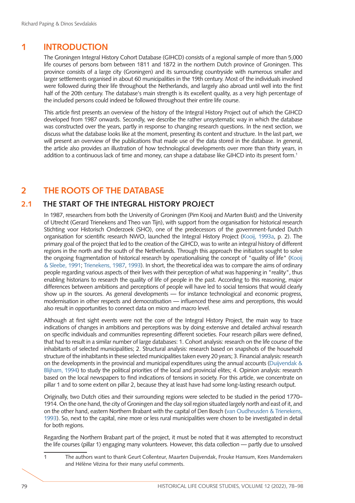## **1 INTRODUCTION**

The Groningen Integral History Cohort Database (GIHCD) consists of a regional sample of more than 5,000 life courses of persons born between 1811 and 1872 in the northern Dutch province of Groningen. This province consists of a large city (Groningen) and its surrounding countryside with numerous smaller and larger settlements organised in about 60 municipalities in the 19th century. Most of the individuals involved were followed during their life throughout the Netherlands, and largely also abroad until well into the first half of the 20th century. The database's main strength is its excellent quality, as a very high percentage of the included persons could indeed be followed throughout their entire life course.

This article first presents an overview of the history of the Integral History Project out of which the GIHCD developed from 1987 onwards. Secondly, we describe the rather unsystematic way in which the database was constructed over the years, partly in response to changing research questions. In the next section, we discuss what the database looks like at the moment, presenting its content and structure. In the last part, we will present an overview of the publications that made use of the data stored in the database. In general, the article also provides an illustration of how technological developments over more than thirty years, in addition to a continuous lack of time and money, can shape a database like GIHCD into its present form.1

## **2 THE ROOTS OF THE DATABASE**

#### **2.1 THE START OF THE INTEGRAL HISTORY PROJECT**

In 1987, researchers from both the University of Groningen (Pim Kooij and Marten Buist) and the University of Utrecht (Gerard Trienekens and Theo van Tijn), with support from the organisation for historical research Stichting voor Historisch Onderzoek (SHO), one of the predecessors of the government-funded Dutch organisation for scientific research NWO, launched the Integral History Project [\(Kooij, 1993a](#page-18-0), p. 2). The primary goal of the project that led to the creation of the GIHCD, was to write an integral history of different regions in the north and the south of the Netherlands. Through this approach the initiators sought to solve the ongoing fragmentation of historical research by operationalising the concept of "quality of life" [\(Kooij](#page-18-1) [& Sleebe, 1991;](#page-18-1) [Trienekens, 1987,](#page-20-0) [1993\)](#page-20-1). In short, the theoretical idea was to compare the aims of ordinary people regarding various aspects of their lives with their perception of what was happening in "reality", thus enabling historians to research the quality of life of people in the past. According to this reasoning, major differences between ambitions and perceptions of people will have led to social tensions that would clearly show up in the sources. As general developments — for instance technological and economic progress, modernisation in other respects and democratisation — influenced these aims and perceptions, this would also result in opportunities to connect data on micro and macro level.

Although at first sight events were not the core of the Integral History Project, the main way to trace indications of changes in ambitions and perceptions was by doing extensive and detailed archival research on specific individuals and communities representing different societies. Four research pillars were defined, that had to result in a similar number of large databases: 1. Cohort analysis: research on the life course of the inhabitants of selected municipalities; 2. Structural analysis: research based on snapshots of the household structure of the inhabitants in these selected municipalities taken every 20 years; 3. Financial analysis: research on the developments in the provincial and municipal expenditures using the annual accounts [\(Duijvendak &](#page-17-0) [Blijham, 1994\)](#page-17-0) to study the political priorities of the local and provincial elites; 4. Opinion analysis: research based on the local newspapers to find indications of tensions in society. For this article, we concentrate on pillar 1 and to some extent on pillar 2, because they at least have had some long-lasting research output.

Originally, two Dutch cities and their surrounding regions were selected to be studied in the period 1770– 1914. On the one hand, the city of Groningen and the clay soil region situated largely north and east of it, and on the other hand, eastern Northern Brabant with the capital of Den Bosch [\(van Oudheusden & Trienekens,](#page-20-2) [1993\)](#page-20-2). So, next to the capital, nine more or less rural municipalities were chosen to be investigated in detail for both regions.

Regarding the Northern Brabant part of the project, it must be noted that it was attempted to reconstruct the life courses (pillar 1) engaging many volunteers. However, this data collection — partly due to unsolved

1 The authors want to thank Geurt Collenteur, Maarten Duijvendak, Frouke Hansum, Kees Mandemakers and Hélène Vézina for their many useful comments.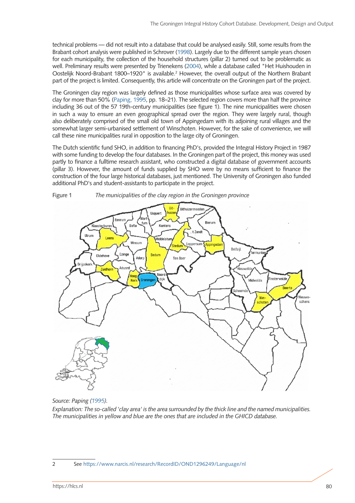technical problems — did not result into a database that could be analysed easily. Still, some results from the Brabant cohort analysis were published in Schrover [\(1998\)](#page-19-0). Largely due to the different sample years chosen for each municipality, the collection of the household structures (pillar 2) turned out to be problematic as well. Preliminary results were presented by Trienekens ([2004\)](#page-20-3), while a database called "Het Huishouden in Oostelijk Noord-Brabant 1800–1920" is available.<sup>2</sup> However, the overall output of the Northern Brabant part of the project is limited. Consequently, this article will concentrate on the Groningen part of the project.

The Groningen clay region was largely defined as those municipalities whose surface area was covered by clay for more than 50% ([Paping, 1995,](#page-18-2) pp. 18–21). The selected region covers more than half the province including 36 out of the 57 19th-century municipalities (see figure 1). The nine municipalities were chosen in such a way to ensure an even geographical spread over the region. They were largely rural, though also deliberately comprised of the small old town of Appingedam with its adjoining rural villages and the somewhat larger semi-urbanised settlement of Winschoten. However, for the sake of convenience, we will call these nine municipalities rural in opposition to the large city of Groningen.

The Dutch scientific fund SHO, in addition to financing PhD's, provided the Integral History Project in 1987 with some funding to develop the four databases. In the Groningen part of the project, this money was used partly to finance a fulltime research assistant, who constructed a digital database of government accounts (pillar 3). However, the amount of funds supplied by SHO were by no means sufficient to finance the construction of the four large historical databases, just mentioned. The University of Groningen also funded additional PhD's and student-assistants to participate in the project.



*Source: Paping [\(1995](#page-18-2)).*

*Explanation: The so-called 'clay area' is the area surrounded by the thick line and the named municipalities. The municipalities in yellow and blue are the ones that are included in the GHICD database.*

2 See <https://www.narcis.nl/research/RecordID/OND1296249/Language/nl>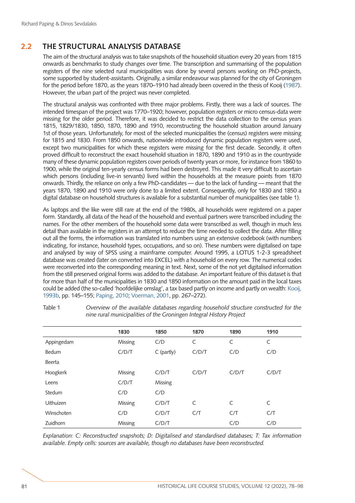### **2.2 THE STRUCTURAL ANALYSIS DATABASE**

The aim of the structural analysis was to take snapshots of the household situation every 20 years from 1815 onwards as benchmarks to study changes over time. The transcription and summarising of the population registers of the nine selected rural municipalities was done by several persons working on PhD-projects, some supported by student-assistants. Originally, a similar endeavour was planned for the city of Groningen for the period before 1870, as the years 1870–1910 had already been covered in the thesis of Kooij ([1987\)](#page-18-3). However, the urban part of the project was never completed.

The structural analysis was confronted with three major problems. Firstly, there was a lack of sources. The intended timespan of the project was 1770–1920; however, population registers or micro census-data were missing for the older period. Therefore, it was decided to restrict the data collection to the census years 1815, 1829/1830, 1850, 1870, 1890 and 1910, reconstructing the household situation around January 1st of those years. Unfortunately, for most of the selected municipalities the (census) registers were missing for 1815 and 1830. From 1850 onwards, nationwide introduced dynamic population registers were used, except two municipalities for which these registers were missing for the first decade. Secondly, it often proved difficult to reconstruct the exact household situation in 1870, 1890 and 1910 as in the countryside many of these dynamic population registers cover periods of twenty years or more, for instance from 1860 to 1900, while the original ten-yearly census forms had been destroyed. This made it very difficult to ascertain which persons (including live-in servants) lived within the households at the measure points from 1870 onwards. Thirdly, the reliance on only a few PhD-candidates — due to the lack of funding — meant that the years 1870, 1890 and 1910 were only done to a limited extent. Consequently, only for 1830 and 1850 a digital database on household structures is available for a substantial number of municipalities (see table 1).

As laptops and the like were still rare at the end of the 1980s, all households were registered on a paper form. Standardly, all data of the head of the household and eventual partners were transcribed including the names. For the other members of the household some data were transcribed as well, though in much less detail than available in the registers in an attempt to reduce the time needed to collect the data. After filling out all the forms, the information was translated into numbers using an extensive codebook (with numbers indicating, for instance, household types, occupations, and so on). These numbers were digitalised on tape and analysed by way of SPSS using a mainframe computer. Around 1995, a LOTUS 1-2-3 spreadsheet database was created (later on converted into EXCEL) with a household on every row. The numerical codes were reconverted into the corresponding meaning in text. Next, some of the not yet digitalised information from the still preserved original forms was added to the database. An important feature of this dataset is that for more than half of the municipalities in 1830 and 1850 information on the amount paid in the local taxes could be added (the so-called 'hoofdelijke omslag', a tax based partly on income and partly on wealth: [Kooij,](#page-18-4)  [1993b,](#page-18-4) pp. 145–155; [Paping, 2010](#page-19-1); [Voerman, 2001,](#page-20-4) pp. 267–272).

|                  | 1830    | 1850       | 1870  | 1890  | 1910  |
|------------------|---------|------------|-------|-------|-------|
| Appingedam       | Missing | C/D        | C     | C     | C     |
| Bedum            | C/D/T   | C (partly) | C/D/T | C/D   | C/D   |
| Beerta           |         |            |       |       |       |
| Hoogkerk         | Missing | C/D/T      | C/D/T | C/D/T | C/D/T |
| Leens            | C/D/T   | Missing    |       |       |       |
| Stedum           | C/D     | C/D        |       |       |       |
| <b>Uithuizen</b> | Missing | C/D/T      | C     | C     | C     |
| Winschoten       | C/D     | C/D/T      | C/T   | C/T   | C/T   |
| Zuidhorn         | Missing | C/D/T      |       | C/D   | C/D   |

Table 1 *Overview of the available databases regarding household structure constructed for the nine rural municipalities of the Groningen Integral History Project* 

*Explanation: C: Reconstructed snapshots; D: Digitalised and standardised databases; T: Tax information available. Empty cells: sources are available, though no databases have been reconstructed.*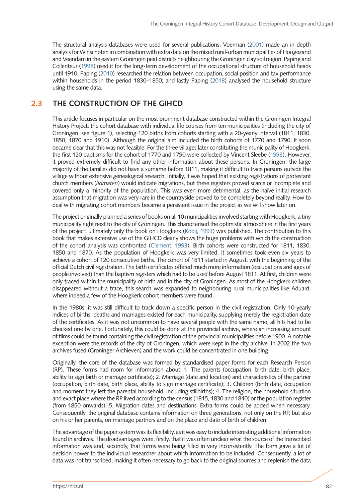The structural analysis databases were used for several publications: Voerman [\(2001](#page-20-4)) made an in-depth analysis for Winschoten in combination with extra data on the mixed rural-urban municipalities of Hoogezand and Veendam in the eastern Groningen peat districts neighbouring the Groningen clay soil region. Paping and Collenteur ([1998\)](#page-19-2) used it for the long-term development of the occupational structure of household heads until 1910. Paping [\(2010](#page-19-1)) researched the relation between occupation, social position and tax performance within households in the period 1830–1850; and lastly Paping [\(2018\)](#page-19-3) analysed the household structure using the same data.

#### **2.3 THE CONSTRUCTION OF THE GIHCD**

This article focuses in particular on the most prominent database constructed within the Groningen Integral History Project: the cohort database with individual life courses from ten municipalities (including the city of Groningen, see figure 1), selecting 120 births from cohorts starting with a 20-yearly interval (1811, 1830, 1850, 1870 and 1910). Although the original aim included the birth cohorts of 1770 and 1790, it soon became clear that this was not feasible. For the three villages later constituting the municipality of Hoogkerk, the first 120 baptisms for the cohort of 1770 and 1790 were collected by Vincent Sleebe [\(1993](#page-20-5)). However, it proved extremely difficult to find any other information about these persons. In Groningen, the large majority of the families did not have a surname before 1811, making it difficult to trace persons outside the village without extensive genealogical research. Initially, it was hoped that existing registrations of protestant church members (*lidmaten*) would indicate migrations, but these registers proved scarce or incomplete and covered only a minority of the population. This was even more detrimental, as the naïve initial research assumption that migration was very rare in the countryside proved to be completely beyond reality. How to deal with migrating cohort members became a persistent issue in the project as we will show later on.

The project originally planned a series of books on all 10 municipalities involved starting with Hoogkerk, a tiny municipality right next to the city of Groningen. This characterised the optimistic atmosphere in the first years of the project: ultimately only the book on Hoogkerk [\(Kooij, 1993\)](#page-18-1) was published. The contribution to this book that makes extensive use of the GIHCD clearly shows the huge problems with which the construction of the cohort analysis was confronted ([Clement, 1993\)](#page-17-1). Birth cohorts were constructed for 1811, 1830, 1850 and 1870. As the population of Hoogkerk was very limited, it sometimes took even six years to achieve a cohort of 120 consecutive births. The cohort of 1811 started in August, with the beginning of the official Dutch civil registration. The birth certificates offered much more information (occupations and ages of people involved) than the baptism registers which had to be used before August 1811. At first, children were only traced within the municipality of birth and in the city of Groningen. As most of the Hoogkerk children disappeared without a trace, this search was expanded to neighbouring rural municipalities like Aduard, where indeed a few of the Hoogkerk cohort members were found.

In the 1980s, it was still difficult to track down a specific person in the civil registration. Only 10-yearly indices of births, deaths and marriages existed for each municipality, supplying merely the registration date of the certificates. As it was not uncommon to have several people with the same name, all hits had to be checked one by one. Fortunately, this could be done at the provincial archive, where an increasing amount of films could be found containing the civil registration of the provincial municipalities before 1900. A notable exception were the records of the city of Groningen, which were kept in the city archive. In 2002 the two archives fused (Groninger Archieven) and the work could be concentrated in one building.

Originally, the core of the database was formed by standardised paper forms for each Research Person (RP). These forms had room for information about: 1. The parents (occupation, birth date, birth place, ability to sign birth or marriage certificate); 2. Marriage (date and location) and characteristics of the partner (occupation, birth date, birth place, ability to sign marriage certificate); 3. Children (birth date, occupation and moment they left the parental household, including stillbirths); 4. The religion, the household situation and exact place where the RP lived according to the census (1815, 1830 and 1840) or the population register (from 1850 onwards); 5. Migration dates and destinations. Extra forms could be added when necessary. Consequently, the original database contains information on three generations, not only on the RP, but also on his or her parents, on marriage partners and on the place and date of birth of children.

The advantage of the paper system was its flexibility, as it was easy to include interesting additional information found in archives. The disadvantages were, firstly, that it was often unclear what the source of the transcribed information was and, secondly, that forms were being filled in very inconsistently. The form gave a lot of decision power to the individual researcher about which information to be included. Consequently, a lot of data was not transcribed, making it often necessary to go back to the original sources and replenish the data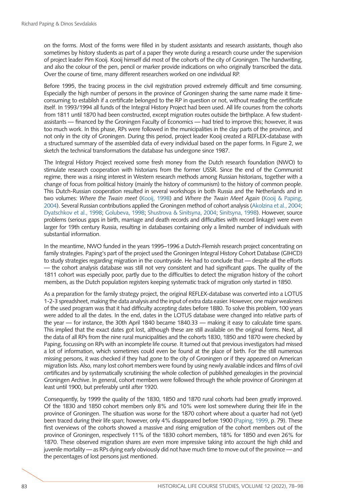on the forms. Most of the forms were filled in by student assistants and research assistants, though also sometimes by history students as part of a paper they wrote during a research course under the supervision of project leader Pim Kooij. Kooij himself did most of the cohorts of the city of Groningen. The handwriting, and also the colour of the pen, pencil or marker provide indications on who originally transcribed the data. Over the course of time, many different researchers worked on one individual RP.

Before 1995, the tracing process in the civil registration proved extremely difficult and time consuming. Especially the high number of persons in the province of Groningen sharing the same name made it timeconsuming to establish if a certificate belonged to the RP in question or not, without reading the certificate itself. In 1993/1994 all funds of the Integral History Project had been used. All life courses from the cohorts from 1811 until 1870 had been constructed, except migration routes outside the birthplace. A few studentassistants — financed by the Groningen Faculty of Economics — had tried to improve this; however, it was too much work. In this phase, RPs were followed in the municipalities in the clay parts of the province, and not only in the city of Groningen. During this period, project leader Kooij created a REFLEX-database with a structured summary of the assembled data of every individual based on the paper forms. In Figure 2, we sketch the technical transformations the database has undergone since 1987.

The Integral History Project received some fresh money from the Dutch research foundation (NWO) to stimulate research cooperation with historians from the former USSR. Since the end of the Communist regime, there was a rising interest in Western research methods among Russian historians, together with a change of focus from political history (mainly the history of communism) to the history of common people. This Dutch-Russian cooperation resulted in several workshops in both Russia and the Netherlands and in two volumes: *Where the Twain meet* ([Kooij, 1998](#page-18-5)) and *Where the Twain Meet Again* [\(Kooij & Paping,](#page-18-6) [2004\)](#page-18-6). Several Russian contributions applied the Groningen method of cohort analysis ([Akolzina et al., 2004;](#page-17-2) [Dyatschkov et al., 1998;](#page-17-3) [Golubeva, 1998](#page-18-7); [Shustrova & Sinitsyna, 2004;](#page-19-4) [Sinitsyna, 1998\)](#page-19-5). However, source problems (serious gaps in birth, marriage and death records and difficulties with record linkage) were even larger for 19th century Russia, resulting in databases containing only a limited number of individuals with substantial information.

In the meantime, NWO funded in the years 1995–1996 a Dutch-Flemish research project concentrating on family strategies. Paping's part of the project used the Groningen Integral History Cohort Database (GIHCD) to study strategies regarding migration in the countryside. He had to conclude that — despite all the efforts — the cohort analysis database was still not very consistent and had significant gaps. The quality of the 1811 cohort was especially poor, partly due to the difficulties to detect the migration history of the cohort members, as the Dutch population registers keeping systematic track of migration only started in 1850.

As a preparation for the family strategy project, the original REFLEX-database was converted into a LOTUS 1-2-3 spreadsheet, making the data analysis and the input of extra data easier. However, one major weakness of the used program was that it had difficulty accepting dates before 1880. To solve this problem, 100 years were added to all the dates. In the end, dates in the LOTUS database were changed into relative parts of the year — for instance, the 30th April 1840 became 1840.33 — making it easy to calculate time spans. This implied that the exact dates got lost, although these are still available on the original forms. Next, all the data of all RPs from the nine rural municipalities and the cohorts 1830, 1850 and 1870 were checked by Paping, focussing on RPs with an incomplete life course. It turned out that previous investigators had missed a lot of information, which sometimes could even be found at the place of birth. For the still numerous missing persons, it was checked if they had gone to the city of Groningen or if they appeared on American migration lists. Also, many lost cohort members were found by using newly available indices and films of civil certificates and by systematically scrutinising the whole collection of published genealogies in the provincial Groningen Archive. In general, cohort members were followed through the whole province of Groningen at least until 1900, but preferably until after 1920.

Consequently, by 1999 the quality of the 1830, 1850 and 1870 rural cohorts had been greatly improved. Of the 1830 and 1850 cohort members only 8% and 10% were lost somewhere during their life in the province of Groningen. The situation was worse for the 1870 cohort where about a quarter had not (yet) been traced during their life span; however, only 4% disappeared before 1900 [\(Paping, 1999](#page-18-8), p. 79). These first overviews of the cohorts showed a massive and rising emigration of the cohort members out of the province of Groningen, respectively 11% of the 1830 cohort members, 18% for 1850 and even 26% for 1870. These observed migration shares are even more impressive taking into account the high child and juvenile mortality — as RPs dying early obviously did not have much time to move out of the province — and the percentages of lost persons just mentioned.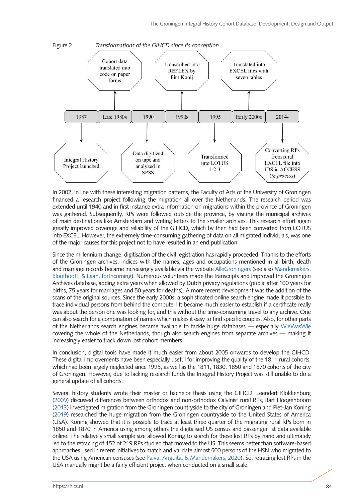

In 2002, in line with these interesting migration patterns, the Faculty of Arts of the University of Groningen financed a research project following the migration all over the Netherlands. The research period was extended until 1940 and in first instance extra information on migrations within the province of Groningen was gathered. Subsequently, RPs were followed outside the province, by visiting the municipal archives of main destinations like Amsterdam and writing letters to the smaller archives. This research effort again greatly improved coverage and reliability of the GIHCD, which by then had been converted from LOTUS into EXCEL. However, the extremely time-consuming gathering of data on all migrated individuals, was one of the major causes for this project not to have resulted in an end publication.

Since the millennium change, digitisation of the civil registration has rapidly proceeded. Thanks to the efforts of the Groningen archives, indices with the names, ages and occupations mentioned in all birth, death and marriage records became increasingly available via the website [AlleGroningers](https://www.allegroningers.nl/) (see also [Mandemakers,](#page-18-9)  [Bloothooft, & Laan, forthcoming](#page-18-9)). Numerous volunteers made the transcripts and improved the Groningen Archives database, adding extra years when allowed by Dutch privacy regulations (public after 100 years for births, 75 years for marriages and 50 years for deaths). A more recent development was the addition of the scans of the original sources. Since the early 2000s, a sophisticated online search engine made it possible to trace individual persons from behind the computer! It became much easier to establish if a certificate really was about the person one was looking for, and this without the time-consuming travel to any archive. One can also search for a combination of names which makes it easy to find specific couples. Also, for other parts of the Netherlands search engines became available to tackle huge databases — especially [WieWasWie](https://www.wiewaswie.nl/)  covering the whole of the Netherlands, though also search engines from separate archives — making it increasingly easier to track down lost cohort members.

In conclusion, digital tools have made it much easier from about 2005 onwards to develop the GIHCD. These digital improvements have been especially useful for improving the quality of the 1811 rural cohorts, which had been largely neglected since 1995, as well as the 1811, 1830, 1850 and 1870 cohorts of the city of Groningen. However, due to lacking research funds the Integral History Project was still unable to do a general update of all cohorts.

Several history students wrote their master or bachelor thesis using the GIHCD: Leendert Klokkenburg [\(2009](#page-18-10)) discussed differences between orthodox and non-orthodox Calvinist rural RPs, Bart Hoogenboom [\(2013](#page-18-11)) investigated migration from the Groningen countryside to the city of Groningen and Piet-Jan Koning [\(2019](#page-18-12)) researched the huge migration from the Groningen countryside to the United States of America (USA). Koning showed that it is possible to trace at least three quarter of the migrating rural RPs born in 1850 and 1870 in America using among others the digitalised US census and passenger list data available online. The relatively small sample size allowed Koning to search for these lost RPs by hand and ultimately led to the retracing of 152 of 219 RPs studied that moved to the US. This seems better than software-based approaches used in recent initiatives to match and validate almost 500 persons of the HSN who migrated to the USA using American censuses (see [Paiva, Anguita, & Mandemakers, 2020\)](#page-18-13). So, retracing lost RPs in the USA manually might be a fairly efficient project when conducted on a small scale.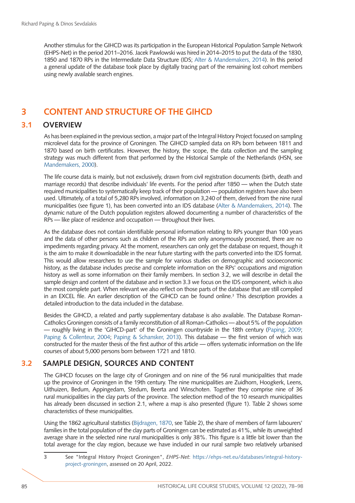Another stimulus for the GIHCD was its participation in the European Historical Population Sample Network (EHPS-Net) in the period 2011–2016. Jacek Pawlowski was hired in 2014–2015 to put the data of the 1830, 1850 and 1870 RPs in the Intermediate Data Structure (IDS; [Alter & Mandemakers, 2014](#page-17-4)). In this period a general update of the database took place by digitally tracing part of the remaining lost cohort members using newly available search engines.

## **3 CONTENT AND STRUCTURE OF THE GIHCD**

#### **3.1 OVERVIEW**

As has been explained in the previous section, a major part of the Integral History Project focused on sampling microlevel data for the province of Groningen. The GIHCD sampled data on RPs born between 1811 and 1870 based on birth certificates. However, the history, the scope, the data collection and the sampling strategy was much different from that performed by the Historical Sample of the Netherlands (HSN, see [Mandemakers, 2000](#page-18-14)).

The life course data is mainly, but not exclusively, drawn from civil registration documents (birth, death and marriage records) that describe individuals' life events. For the period after 1850 — when the Dutch state required municipalities to systematically keep track of their population — population registers have also been used. Ultimately, of a total of 5,280 RPs involved, information on 3,240 of them, derived from the nine rural municipalities (see figure 1), has been converted into an IDS database ([Alter & Mandemakers, 2014](#page-17-4)). The dynamic nature of the Dutch population registers allowed documenting a number of characteristics of the RPs — like place of residence and occupation — throughout their lives.

As the database does not contain identifiable personal information relating to RPs younger than 100 years and the data of other persons such as children of the RPs are only anonymously processed, there are no impediments regarding privacy. At the moment, researchers can only get the database on request, though it is the aim to make it downloadable in the near future starting with the parts converted into the IDS format. This would allow researchers to use the sample for various studies on demographic and socioeconomic history, as the database includes precise and complete information on the RPs' occupations and migration history as well as some information on their family members. In section 3.2, we will describe in detail the sample design and content of the database and in section 3.3 we focus on the IDS component, which is also the most complete part. When relevant we also reflect on those parts of the database that are still compiled in an EXCEL file. An earlier description of the GIHCD can be found online.<sup>3</sup> This description provides a detailed introduction to the data included in the database.

Besides the GIHCD, a related and partly supplementary database is also available. The Database Roman-Catholics Groningen consists of a family reconstitution of all Roman-Catholics — about 5% of the population — roughly living in the 'GIHCD-part' of the Groningen countryside in the 18th century [\(Paping, 2009;](#page-19-6) [Paping & Collenteur, 2004;](#page-19-7) [Paping & Schansker, 2013](#page-19-8)). This database — the first version of which was constructed for the master thesis of the first author of this article — offers systematic information on the life courses of about 5,000 persons born between 1721 and 1810.

## **3.2 SAMPLE DESIGN, SOURCES AND CONTENT**

The GIHCD focuses on the large city of Groningen and on nine of the 56 rural municipalities that made up the province of Groningen in the 19th century. The nine municipalities are Zuidhorn, Hoogkerk, Leens, Uithuizen, Bedum, Appingedam, Stedum, Beerta and Winschoten. Together they comprise nine of 36 rural municipalities in the clay parts of the province. The selection method of the 10 research municipalities has already been discussed in section 2.1, where a map is also presented (figure 1). Table 2 shows some characteristics of these municipalities.

Using the 1862 agricultural statistics [\(Bijdragen, 1870,](#page-17-1) see Table 2), the share of members of farm labourers' families in the total population of the clay parts of Groningen can be estimated as 41%, while its unweighted average share in the selected nine rural municipalities is only 38%. This figure is a little bit lower than the total average for the clay region, because we have included in our rural sample two relatively urbanised

3 See "Integral History Project Groningen", *EHPS-Net*: [https://ehps-net.eu/databases/integral-history](https://ehps-net.eu/databases/integral-history-project-groningen)[project-groningen](https://ehps-net.eu/databases/integral-history-project-groningen), assessed on 20 April, 2022.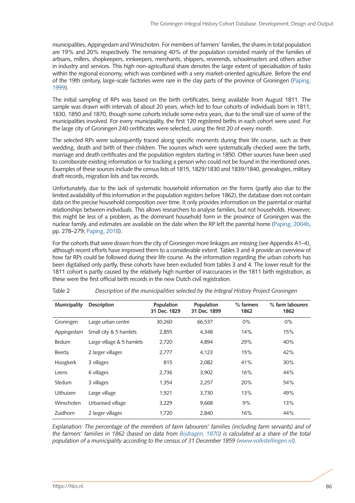municipalities, Appingedam and Winschoten. For members of farmers' families, the shares in total population are 19% and 20% respectively. The remaining 40% of the population consisted mainly of the families of artisans, millers, shopkeepers, innkeepers, merchants, shippers, reverends, schoolmasters and others active in industry and services. This high non-agricultural share denotes the large extent of specialisation of tasks within the regional economy, which was combined with a very market-oriented agriculture. Before the end of the 19th century, large-scale factories were rare in the clay parts of the province of Groningen [\(Paping,](#page-18-8)  [1999](#page-18-8)).

The initial sampling of RPs was based on the birth certificates, being available from August 1811. The sample was drawn with intervals of about 20 years, which led to four cohorts of individuals born in 1811, 1830, 1850 and 1870, though some cohorts include some extra years, due to the small size of some of the municipalities involved. For every municipality, the first 120 registered births in each cohort were used. For the large city of Groningen 240 certificates were selected, using the first 20 of every month.

The selected RPs were subsequently traced along specific moments during their life course, such as their wedding, death and birth of their children. The sources which were systematically checked were the birth, marriage and death certificates and the population registers starting in 1850. Other sources have been used to corroborate existing information or for tracking a person who could not be found in the mentioned ones. Examples of these sources include the census lists of 1815, 1829/1830 and 1839/1840, genealogies, military draft records, migration lists and tax records.

Unfortunately, due to the lack of systematic household information on the forms (partly also due to the limited availability of this information in the population registers before 1862), the database does not contain data on the precise household composition over time. It only provides information on the parental or marital relationships between individuals. This allows researchers to analyse families, but not households. However, this might be less of a problem, as the dominant household form in the province of Groningen was the nuclear family, and estimates are available on the date when the RP left the parental home [\(Paping, 2004b,](#page-19-9) pp. 278–279; [Paping, 2018](#page-19-3)).

For the cohorts that were drawn from the city of Groningen more linkages are missing (see Appendix A1–4), although recent efforts have improved them to a considerable extent. Tables 3 and 4 provide an overview of how far RPs could be followed during their life course. As the information regarding the urban cohorts has been digitalised only partly, these cohorts have been excluded from tables 3 and 4. The lower result for the 1811 cohort is partly caused by the relatively high number of inaccuracies in the 1811 birth registration, as these were the first official birth records in the new Dutch civil registration.

| Municipality | <b>Description</b>        | Population<br>31 Dec. 1829 | Population<br>31 Dec. 1899 | % farmers<br>1862 | % farm labourers<br>1862 |
|--------------|---------------------------|----------------------------|----------------------------|-------------------|--------------------------|
| Groningen    | Large urban centre        | 30,260                     | 66,537                     | $0\%$             | $0\%$                    |
| Appingedam   | Small city & 5 hamlets    | 2,855                      | 4,348                      | 14%               | 15%                      |
| Bedum        | Large village & 5 hamlets | 2,720                      | 4,894                      | 29%               | 40%                      |
| Beerta       | 2 larger villages         | 2,777                      | 4,123                      | 15%               | 42%                      |
| Hoogkerk     | 3 villages                | 815                        | 2,082                      | 41%               | 30%                      |
| Leens        | 6 villages                | 2.736                      | 3,902                      | 16%               | 44%                      |
| Stedum       | 3 villages                | 1.354                      | 2,257                      | 20%               | 54%                      |
| Uithuizen    | Large village             | 1,921                      | 3,730                      | 13%               | 49%                      |
| Winschoten   | Urbanised village         | 3,229                      | 9,668                      | 9%                | 13%                      |
| Zuidhorn     | 2 larger villages         | 1.720                      | 2,840                      | 16%               | 44%                      |

Table 2 *Description of the municipalities selected by the Integral History Project Groningen*

*Explanation: The percentage of the members of farm labourers' families (including farm servants) and of the farmers' families in 1862 (based on data from [Bijdragen, 1870\)](#page-17-1) is calculated as a share of the total population of a municipality according to the census of 31 December 1859 [\(www.volkstellingen.nl\)](http://www.volkstellingen.nl)*.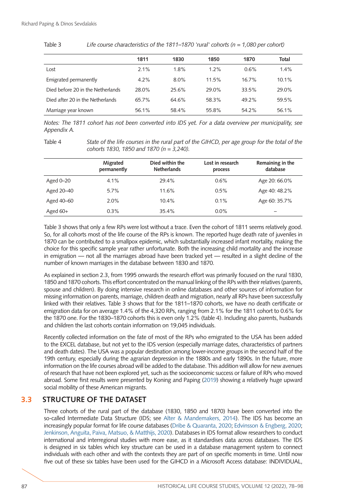|                                   | 1811    | 1830    | 1850    | 1870  | Total   |
|-----------------------------------|---------|---------|---------|-------|---------|
| Lost                              | 2.1%    | 1.8%    | $1.2\%$ | 0.6%  | $1.4\%$ |
| Emigrated permanently             | $4.2\%$ | $8.0\%$ | 11.5%   | 16.7% | 10.1%   |
| Died before 20 in the Netherlands | 28.0%   | 25.6%   | 29.0%   | 33.5% | 29.0%   |
| Died after 20 in the Netherlands  | 65.7%   | 64.6%   | 58.3%   | 49.2% | 59.5%   |
| Marriage year known               | 56.1%   | 58.4%   | 55.8%   | 54.2% | 56.1%   |

Table 3 *Life course characteristics of the 1811–1870 'rural' cohorts (n = 1,080 per cohort)*

*Notes: The 1811 cohort has not been converted into IDS yet. For a data overview per municipality, see Appendix A.*

Table 4 *State of the life courses in the rural part of the GIHCD, per age group for the total of the cohorts 1830, 1850 and 1870 (n = 3,240).*

|               | Migrated<br>permanently | Died within the<br><b>Netherlands</b> | Lost in research<br>process | Remaining in the<br>database |
|---------------|-------------------------|---------------------------------------|-----------------------------|------------------------------|
| Aged $0 - 20$ | 4.1%                    | 29.4%                                 | 0.6%                        | Age 20: 66.0%                |
| Aged 20-40    | 5.7%                    | 11.6%                                 | 0.5%                        | Age 40: 48.2%                |
| Aged 40-60    | 2.0%                    | $10.4\%$                              | 0.1%                        | Age 60: 35.7%                |
| Aged $60+$    | $0.3\%$                 | 35.4%                                 | $0.0\%$                     | —                            |

Table 3 shows that only a few RPs were lost without a trace. Even the cohort of 1811 seems relatively good. So, for all cohorts most of the life course of the RPs is known. The reported huge death rate of juveniles in 1870 can be contributed to a smallpox epidemic, which substantially increased infant mortality, making the choice for this specific sample year rather unfortunate. Both the increasing child mortality and the increase in emigration — not all the marriages abroad have been tracked yet — resulted in a slight decline of the number of known marriages in the database between 1830 and 1870.

As explained in section 2.3, from 1995 onwards the research effort was primarily focused on the rural 1830, 1850 and 1870 cohorts. This effort concentrated on the manual linking of the RPs with their relatives (parents, spouse and children). By doing intensive research in online databases and other sources of information for missing information on parents, marriage, children death and migration, nearly all RPs have been successfully linked with their relatives. Table 3 shows that for the 1811–1870 cohorts, we have no death certificate or emigration data for on average 1.4% of the 4,320 RPs, ranging from 2.1% for the 1811 cohort to 0.6% for the 1870 one. For the 1830–1870 cohorts this is even only 1.2% (table 4). Including also parents, husbands and children the last cohorts contain information on 19,045 individuals.

Recently collected information on the fate of most of the RPs who emigrated to the USA has been added to the EXCEL database, but not yet to the IDS version (especially marriage dates, characteristics of partners and death dates). The USA was a popular destination among lower-income groups in the second half of the 19th century, especially during the agrarian depression in the 1880s and early 1890s. In the future, more information on the life courses abroad will be added to the database. This addition will allow for new avenues of research that have not been explored yet, such as the socioeconomic success or failure of RPs who moved abroad. Some first results were presented by Koning and Paping [\(2019](#page-18-15)) showing a relatively huge upward social mobility of these American migrants.

### **3.3 STRUCTURE OF THE DATASET**

Three cohorts of the rural part of the database (1830, 1850 and 1870) have been converted into the so-called Intermediate Data Structure (IDS; see [Alter & Mandemakers, 2014](#page-17-4)). The IDS has become an increasingly popular format for life course databases [\(Dribe & Quaranta, 2020](#page-17-5); [Edvinsson & Engberg, 2020;](#page-17-6) [Jenkinson, Anguita, Paiva, Matsuo, & Matthijs, 2020](#page-18-16)). Databases in IDS format allow researchers to conduct international and interregional studies with more ease, as it standardises data across databases. The IDS is designed in six tables which key structure can be used in a database management system to connect individuals with each other and with the contexts they are part of on specific moments in time. Until now five out of these six tables have been used for the GIHCD in a Microsoft Access database: INDIVIDUAL,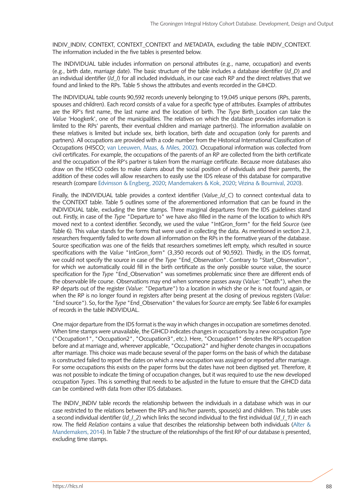INDIV\_INDIV, CONTEXT, CONTEXT CONTEXT and METADATA, excluding the table INDIV\_CONTEXT. The information included in the five tables is presented below.

The INDIVIDUAL table includes information on personal attributes (e.g., name, occupation) and events (e.g., birth date, marriage date). The basic structure of the table includes a database identifier (*Id\_D*) and an individual identifier (*Id\_I*) for all included individuals, in our case each RP and the direct relatives that we found and linked to the RPs. Table 5 shows the attributes and events recorded in the GIHCD.

The INDIVIDUAL table counts 90,592 records unevenly belonging to 19,045 unique persons (RPs, parents, spouses and children). Each record consists of a value for a specific type of attributes. Examples of attributes are the RP's first name, the last name and the location of birth. The *Type* Birth\_Location can take the *Value* 'Hoogkerk', one of the municipalities. The relatives on which the database provides information is limited to the RPs' parents, their eventual children and marriage partner(s). The information available on these relatives is limited but include sex, birth location, birth date and occupation (only for parents and partners). All occupations are provided with a code number from the Historical International Classification of Occupations (HISCO; [van Leeuwen, Maas, & Miles, 2002](#page-20-6)). Occupational information was collected from civil certificates. For example, the occupations of the parents of an RP are collected from the birth certificate and the occupation of the RP's partner is taken from the marriage certificate. Because more databases also draw on the HISCO codes to make claims about the social position of individuals and their parents, the addition of these codes will allow researchers to easily use the IDS release of this database for comparative research (compare [Edvinsson & Engberg, 2020;](#page-17-6) [Mandemakers & Kok, 2020](#page-18-17); Vézina & Bournival, 2020).

Finally, the INDIVIDUAL table provides a context identifier (*Value\_Id\_C*) to connect contextual data to the CONTEXT table. Table 5 outlines some of the aforementioned information that can be found in the INDIVIDUAL table, excluding the time stamps. Three marginal departures from the IDS guidelines stand out. Firstly, in case of the *Type* "Departure to" we have also filled in the name of the location to which RPs moved next to a context identifier. Secondly, we used the value "IntGron\_form" for the field *Source* (see Table 6)*.* This value stands for the forms that were used in collecting the data. As mentioned in section 2.3, researchers frequently failed to write down all information on the RPs in the formative years of the database. Source specification was one of the fields that researchers sometimes left empty, which resulted in source specifications with the *Value* "IntGron\_form" (3,350 records out of 90,592). Thirdly, in the IDS format, we could not specify the source in case of the *Type* "End\_Observation". Contrary to "Start\_Observation", for which we automatically could fill in the birth certificate as the only possible source value, the source specification for the *Type* "End\_Observation" was sometimes problematic since there are different ends of the observable life course. Observations may end when someone passes away (*Value*: "Death"), when the RP departs out of the register (*Value*: "Departure") to a location in which she or he is not found again, or when the RP is no longer found in registers after being present at the closing of previous registers (*Value*: "End source"). So, for the *Type* "End\_Observation" the values for *Source* are empty. See Table 6 for examples of records in the table INDIVIDUAL.

One major departure from the IDS format is the way in which changes in occupation are sometimes denoted. When time stamps were unavailable, the GIHCD indicates changes in occupations by a new occupation *Type*  ("Occupation1", "Occupation2", "Occupation3", etc.). Here, "Occupation1" denotes the RP's occupation before and at marriage and, wherever applicable, "Occupation2" and higher denote changes in occupations after marriage. This choice was made because several of the paper forms on the basis of which the database is constructed failed to report the dates on which a new occupation was assigned or reported after marriage. For some occupations this exists on the paper forms but the dates have not been digitised yet. Therefore, it was not possible to indicate the timing of occupation changes, but it was required to use the new developed occupation *Types*. This is something that needs to be adjusted in the future to ensure that the GIHCD data can be combined with data from other IDS databases.

The INDIV\_INDIV table records the relationship between the individuals in a database which was in our case restricted to the relations between the RPs and his/her parents, spouse(s) and children. This table uses a second individual identifier (*Id\_I\_2*) which links the second individual to the first individual (*Id\_I\_1*) in each row. The field *Relation* contains a value that describes the relationship between both individuals ([Alter &](#page-17-4)  [Mandemakers, 2014](#page-17-4)). In Table 7 the structure of the relationships of the first RP of our database is presented, excluding time stamps.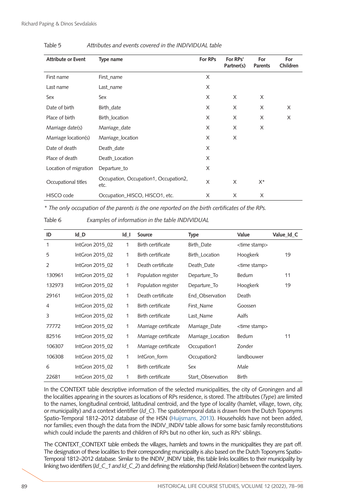| <b>Attribute or Event</b> | Type name                                     | <b>For RPs</b> | For RPs'<br>Partner(s) | For<br><b>Parents</b> | For<br>Children |
|---------------------------|-----------------------------------------------|----------------|------------------------|-----------------------|-----------------|
|                           |                                               |                |                        |                       |                 |
| First name                | First_name                                    | X              |                        |                       |                 |
| Last name                 | Last_name                                     | X              |                        |                       |                 |
| Sex                       | Sex                                           | X              | X                      | X                     |                 |
| Date of birth             | Birth_date                                    | X              | X                      | X                     | X               |
| Place of birth            | Birth_location                                | X              | X                      | X                     | X               |
| Marriage date(s)          | Marriage_date                                 | X              | X                      | X                     |                 |
| Marriage location(s)      | Marriage location                             | X              | X                      |                       |                 |
| Date of death             | Death_date                                    | X              |                        |                       |                 |
| Place of death            | Death_Location                                | X              |                        |                       |                 |
| Location of migration     | Departure_to                                  | X              |                        |                       |                 |
| Occupational titles       | Occupation, Occupation1, Occupation2,<br>etc. | X              | X                      | X*                    |                 |
| HISCO code                | Occupation_HISCO, HISCO1, etc.                | X              | X                      | X                     |                 |

#### Table 5 *Attributes and events covered in the INDIVIDUAL table*

*\* The only occupation of the parents is the one reported on the birth certificates of the RPs.*

Table 6 *Examples of information in the table INDIVIDUAL*

| ID             | $Id$ <sub>_</sub> D | $Id_$ | Source               | <b>Type</b>       | Value                  | Value_Id_C |
|----------------|---------------------|-------|----------------------|-------------------|------------------------|------------|
| 1              | IntGron 2015 02     | 1     | Birth certificate    | Birth Date        | <time stamp=""></time> |            |
| 5              | IntGron 2015 02     | 1     | Birth certificate    | Birth_Location    | Hoogkerk               | 19         |
| $\overline{2}$ | IntGron 2015 02     | 1     | Death certificate    | Death Date        | <time stamp=""></time> |            |
| 130961         | IntGron 2015 02     | 1     | Population register  | Departure To      | <b>Bedum</b>           | 11         |
| 132973         | IntGron 2015 02     | 1     | Population register  | Departure To      | Hoogkerk               | 19         |
| 29161          | IntGron 2015 02     | 1     | Death certificate    | End Observation   | Death                  |            |
| $\overline{4}$ | IntGron 2015 02     | 1     | Birth certificate    | First Name        | Goossen                |            |
| 3              | IntGron 2015 02     | 1     | Birth certificate    | Last_Name         | Aalfs                  |            |
| 77772          | IntGron 2015 02     | 1     | Marriage certificate | Marriage_Date     | <time stamp=""></time> |            |
| 82516          | IntGron 2015 02     | 1     | Marriage certificate | Marriage_Location | <b>Bedum</b>           | 11         |
| 106307         | IntGron 2015 02     | 1     | Marriage certificate | Occupation1       | Zonder                 |            |
| 106308         | IntGron 2015 02     | 1     | IntGron_form         | Occupation2       | landbouwer             |            |
| 6              | IntGron 2015 02     | 1     | Birth certificate    | Sex               | Male                   |            |
| 22681          | IntGron 2015 02     | 1     | Birth certificate    | Start Observation | Birth                  |            |

In the CONTEXT table descriptive information of the selected municipalities, the city of Groningen and all the localities appearing in the sources as locations of RPs residence, is stored. The attributes (*Type*) are limited to the names, longitudinal centroid, latitudinal centroid, and the type of locality (hamlet, village, town, city, or municipality) and a context identifier (*Id\_C*). The spatiotemporal data is drawn from the Dutch Toponyms Spatio-Temporal 1812–2012 database of the HSN [\(Huijsmans, 2013\)](#page-18-18). Households have not been added, nor families; even though the data from the INDIV\_INDIV table allows for some basic family reconstitutions which could include the parents and children of RPs but no other kin, such as RPs' siblings.

The CONTEXT\_CONTEXT table embeds the villages, hamlets and towns in the municipalities they are part off. The designation of these localities to their corresponding municipality is also based on the Dutch Toponyms Spatio-Temporal 1812–2012 database*.* Similar to the INDIV\_INDIV table, this table links localities to their municipality by linking two identifiers (*Id\_C\_1 and Id\_C\_2*) and defining the relationship (field *Relation*) between the context layers.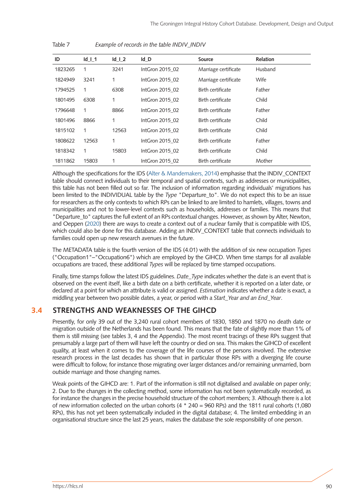| ID      | $Id$   1 | $Id$   2     | Id D            | <b>Source</b>        | Relation |
|---------|----------|--------------|-----------------|----------------------|----------|
| 1823265 | 1        | 3241         | IntGron 2015 02 | Marriage certificate | Husband  |
| 1824949 | 3241     | $\mathbf{1}$ | IntGron 2015 02 | Marriage certificate | Wife     |
| 1794525 | 1        | 6308         | IntGron 2015 02 | Birth certificate    | Father   |
| 1801495 | 6308     | 1            | IntGron 2015 02 | Birth certificate    | Child    |
| 1796648 | 1        | 8866         | IntGron 2015 02 | Birth certificate    | Father   |
| 1801496 | 8866     | 1            | IntGron 2015 02 | Birth certificate    | Child    |
| 1815102 | 1        | 12563        | IntGron 2015 02 | Birth certificate    | Child    |
| 1808622 | 12563    | 1            | IntGron 2015 02 | Birth certificate    | Father   |
| 1818342 | 1        | 15803        | IntGron 2015 02 | Birth certificate    | Child    |
| 1811862 | 15803    | 1            | IntGron 2015 02 | Birth certificate    | Mother   |

Table 7 *Example of records in the table INDIV\_INDIV*

Although the specifications for the IDS ([Alter & Mandemakers, 2014](#page-17-4)) emphasise that the INDIV\_CONTEXT table should connect individuals to their temporal and spatial contexts, such as addresses or municipalities, this table has not been filled out so far. The inclusion of information regarding individuals' migrations has been limited to the INDIVIDUAL table by the *Type* "Departure\_to". We do not expect this to be an issue for researchers as the only contexts to which RPs can be linked to are limited to hamlets, villages, towns and municipalities and not to lower-level contexts such as households, addresses or families. This means that "Departure to" captures the full extent of an RPs contextual changes. However, as shown by Alter, Newton, and Oeppen [\(2020\)](#page-17-7) there are ways to create a context out of a nuclear family that is compatible with IDS, which could also be done for this database. Adding an INDIV\_CONTEXT table that connects individuals to families could open up new research avenues in the future.

The METADATA table is the fourth version of the IDS (4.01) with the addition of six new occupation *Types* ("Occupation1"–"Occupation6") which are employed by the GIHCD. When time stamps for all available occupations are traced, these additional *Types* will be replaced by time stamped occupations.

Finally, time stamps follow the latest IDS guidelines. *Date\_Type* indicates whether the date is an event that is observed on the event itself, like a birth date on a birth certificate, whether it is reported on a later date, or declared at a point for which an attribute is valid or assigned. *Estimation* indicates whether a date is exact, a middling year between two possible dates, a year, or period with a *Start\_Year and an End\_Year*.

### **3.4 STRENGTHS AND WEAKNESSES OF THE GIHCD**

Presently, for only 39 out of the 3,240 rural cohort members of 1830, 1850 and 1870 no death date or migration outside of the Netherlands has been found. This means that the fate of slightly more than 1% of them is still missing (see tables 3, 4 and the Appendix). The most recent tracings of these RPs suggest that presumably a large part of them will have left the country or died on sea. This makes the GIHCD of excellent quality, at least when it comes to the coverage of the life courses of the persons involved. The extensive research process in the last decades has shown that in particular those RPs with a diverging life course were difficult to follow, for instance those migrating over larger distances and/or remaining unmarried, born outside marriage and those changing names.

Weak points of the GIHCD are: 1. Part of the information is still not digitalised and available on paper only; 2. Due to the changes in the collecting method, some information has not been systematically recorded, as for instance the changes in the precise household structure of the cohort members; 3. Although there is a lot of new information collected on the urban cohorts (4 \* 240 = 960 RPs) and the 1811 rural cohorts (1,080 RPs), this has not yet been systematically included in the digital database; 4. The limited embedding in an organisational structure since the last 25 years, makes the database the sole responsibility of one person.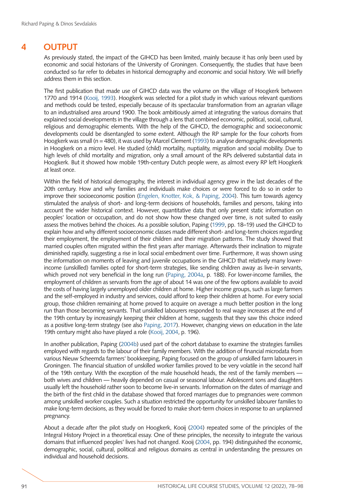## **4 OUTPUT**

As previously stated, the impact of the GIHCD has been limited, mainly because it has only been used by economic and social historians of the University of Groningen. Consequently, the studies that have been conducted so far refer to debates in historical demography and economic and social history. We will briefly address them in this section.

The first publication that made use of GIHCD data was the volume on the village of Hoogkerk between 1770 and 1914 [\(Kooij, 1993\)](#page-18-1). Hoogkerk was selected for a pilot study in which various relevant questions and methods could be tested, especially because of its spectacular transformation from an agrarian village to an industrialised area around 1900. The book ambitiously aimed at integrating the various domains that explained social developments in the village through a lens that combined economic, political, social, cultural, religious and demographic elements. With the help of the GIHCD, the demographic and socioeconomic developments could be disentangled to some extent. Although the RP sample for the four cohorts from Hoogkerk was small (n = 480), it was used by Marcel Clement [\(1993](#page-17-1)) to analyse demographic developments in Hoogkerk on a micro level. He studied (child) mortality, nuptiality, migration and social mobility. Due to high levels of child mortality and migration, only a small amount of the RPs delivered substantial data in Hoogkerk. But it showed how mobile 19th-century Dutch people were, as almost every RP left Hoogkerk at least once.

Within the field of historical demography, the interest in individual agency grew in the last decades of the 20th century. How and why families and individuals make choices or were forced to do so in order to improve their socioeconomic position [\(Engelen, Knotter, Kok, & Paping, 2004\)](#page-17-8). This turn towards agency stimulated the analysis of short- and long-term decisions of households, families and persons, taking into account the wider historical context. However, quantitative data that only present static information on peoples' location or occupation, and do not show how these changed over time, is not suited to easily assess the motives behind the choices. As a possible solution, Paping ([1999,](#page-18-8) pp. 18–19) used the GIHCD to explain how and why different socioeconomic classes made different short- and long-term choices regarding their employment, the employment of their children and their migration patterns. The study showed that married couples often migrated within the first years after marriage. Afterwards their inclination to migrate diminished rapidly, suggesting a rise in local social embedment over time. Furthermore, it was shown using the information on moments of leaving and juvenile occupations in the GIHCD that relatively many lowerincome (unskilled) families opted for short-term strategies, like sending children away as live-in servants, which proved not very beneficial in the long run [\(Paping, 2004a,](#page-19-10) p. 188). For lower-income families, the employment of children as servants from the age of about 14 was one of the few options available to avoid the costs of having largely unemployed older children at home. Higher income groups, such as large farmers and the self-employed in industry and services, could afford to keep their children at home. For every social group, those children remaining at home proved to acquire on average a much better position in the long run than those becoming servants. That unskilled labourers responded to real wage increases at the end of the 19th century by increasingly keeping their children at home, suggests that they saw this choice indeed as a positive long-term strategy (see also [Paping, 2017\)](#page-19-11). However, changing views on education in the late 19th century might also have played a role [\(Kooij, 2004,](#page-18-19) p. 196).

In another publication, Paping ([2004b](#page-19-9)) used part of the cohort database to examine the strategies families employed with regards to the labour of their family members. With the addition of financial microdata from various Nieuw Scheemda farmers' bookkeeping, Paping focused on the group of unskilled farm labourers in Groningen. The financial situation of unskilled worker families proved to be very volatile in the second half of the 19th century. With the exception of the male household heads, the rest of the family members both wives and children — heavily depended on casual or seasonal labour. Adolescent sons and daughters usually left the household rather soon to become live-in servants. Information on the dates of marriage and the birth of the first child in the database showed that forced marriages due to pregnancies were common among unskilled worker couples. Such a situation restricted the opportunity for unskilled labourer families to make long-term decisions, as they would be forced to make short-term choices in response to an unplanned pregnancy.

About a decade after the pilot study on Hoogkerk, Kooij ([2004\)](#page-18-19) repeated some of the principles of the Integral History Project in a theoretical essay. One of these principles, the necessity to integrate the various domains that influenced peoples' lives had not changed. Kooij ([2004,](#page-18-19) pp. 194) distinguished the economic, demographic, social, cultural, political and religious domains as central in understanding the pressures on individual and household decisions.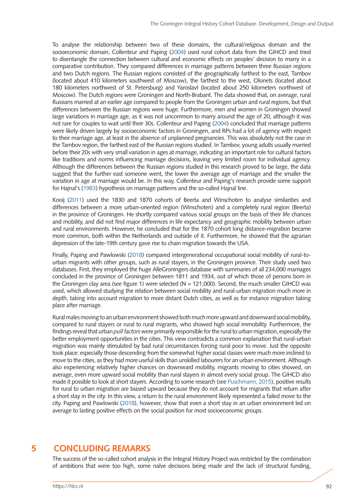To analyse the relationship between two of these domains, the cultural/religious domain and the socioeconomic domain, Collenteur and Paping [\(2004](#page-17-9)) used rural cohort data from the GIHCD and tried to disentangle the connection between cultural and economic effects on peoples' decision to marry in a comparative contribution. They compared differences in marriage patterns between three Russian regions and two Dutch regions. The Russian regions consisted of the geographically farthest to the east, Tambov (located about 410 kilometers southwest of Moscow), the farthest to the west, Olonets (located about 180 kilometers northwest of St. Petersburg) and Yaroslavl (located about 250 kilometers northwest of Moscow). The Dutch regions were Groningen and North-Brabant. The data showed that, on average, rural Russians married at an earlier age compared to people from the Groningen urban and rural regions, but that differences between the Russian regions were huge. Furthermore, men and women in Groningen showed large variations in marriage age, as it was not uncommon to marry around the age of 20, although it was not rare for couples to wait until their 30s. Collenteur and Paping [\(2004](#page-17-9)) concluded that marriage patterns were likely driven largely by socioeconomic factors in Groningen, and RPs had a lot of agency with respect to their marriage age, at least in the absence of unplanned pregnancies. This was absolutely not the case in the Tambov region, the farthest east of the Russian regions studied. In Tambov, young adults usually married before their 20s with very small variation in ages at marriage, indicating an important role for cultural factors like traditions and norms influencing marriage decisions, leaving very limited room for individual agency. Although the differences between the Russian regions studied in this research proved to be large, the data suggest that the further east someone went, the lower the average age of marriage and the smaller the variation in age at marriage would be. In this way, Collenteur and Paping's research provide some support for Hajnal's [\(1983\)](#page-18-10) hypothesis on marriage patterns and the so-called Hajnal line.

Kooij [\(2011](#page-18-20)) used the 1830 and 1870 cohorts of Beerta and Winschoten to analyse similarities and differences between a more urban-oriented region (Winschoten) and a completely rural region (Beerta) in the province of Groningen. He shortly compared various social groups on the basis of their life chances and mobility, and did not find major differences in life expectancy and geographic mobility between urban and rural environments. However, he concluded that for the 1870 cohort long distance-migration became more common, both within the Netherlands and outside of it. Furthermore, he showed that the agrarian depression of the late-19th century gave rise to chain migration towards the USA.

Finally, Paping and Pawlowski [\(2018](#page-19-12)) compared intergenerational occupational social mobility of rural-tourban migrants with other groups, such as rural stayers, in the Groningen province. Their study used two databases. First, they employed the huge AlleGroningers database with summaries of all 234,000 marriages concluded in the province of Groningen between 1811 and 1934, out of which those of persons born in the Groningen clay area (see figure 1) were selected ( $N = 121,000$ ). Second, the much smaller GIHCD was used, which allowed studying the relation between social mobility and rural-urban migration much more in depth, taking into account migration to more distant Dutch cities, as well as for instance migration taking place after marriage.

Rural males moving to an urban environment showed both much more upward and downward social mobility, compared to rural stayers or rural to rural migrants, who showed high social immobility. Furthermore, the findings reveal that urban *pull factors* were primarily responsible for the rural to urban migration, especially the better employment opportunities in the cities. This view contradicts a common explanation that rural-urban migration was mainly stimulated by bad rural circumstances forcing rural poor to move. Just the opposite took place: especially those descending from the somewhat higher social classes were much more inclined to move to the cities, as they had more useful skills than unskilled labourers for an urban environment. Although also experiencing relatively higher chances on downward mobility, migrants moving to cities showed, on average, even more upward social mobility than rural stayers in almost every social group. The GIHCD also made it possible to look at short stayers. According to some research (see [Puschmann, 2015](#page-19-13)), positive results for rural to urban migration are biased upward because they do not account for migrants that return after a short stay in the city. In this view, a return to the rural environment likely represented a failed move to the city. Paping and Pawlowski [\(2018\)](#page-19-12), however, show that even a short stay in an urban environment led on average to lasting positive effects on the social position for most socioeconomic groups.

## **5 CONCLUDING REMARKS**

The success of the so-called cohort analysis in the Integral History Project was restricted by the combination of ambitions that were too high, some naïve decisions being made and the lack of structural funding,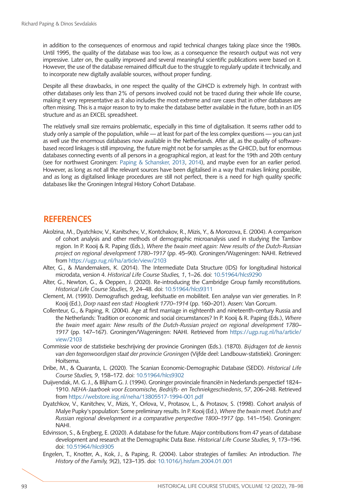in addition to the consequences of enormous and rapid technical changes taking place since the 1980s. Until 1995, the quality of the database was too low, as a consequence the research output was not very impressive. Later on, the quality improved and several meaningful scientific publications were based on it. However, the use of the database remained difficult due to the struggle to regularly update it technically, and to incorporate new digitally available sources, without proper funding.

Despite all these drawbacks, in one respect the quality of the GIHCD is extremely high. In contrast with other databases only less than 2% of persons involved could not be traced during their whole life course, making it very representative as it also includes the most extreme and rare cases that in other databases are often missing. This is a major reason to try to make the database better available in the future, both in an IDS structure and as an EXCEL spreadsheet.

The relatively small size remains problematic, especially in this time of digitalisation. It seems rather odd to study only a sample of the population, while — at least for part of the less complex questions — you can just as well use the enormous databases now available in the Netherlands. After all, as the quality of softwarebased record linkages is still improving, the future might not be for samples as the GHICD, but for enormous databases connecting events of all persons in a geographical region, at least for the 19th and 20th century (see for northwest Groningen: [Paping & Schansker, 2013](#page-19-8), [2014\)](#page-19-14), and maybe even for an earlier period. However, as long as not all the relevant sources have been digitalised in a way that makes linking possible, and as long as digitalised linkage procedures are still not perfect, there is a need for high quality specific databases like the Groningen Integral History Cohort Database.

## **REFERENCES**

- <span id="page-17-2"></span>Akolzina, M., Dyatchkov, V., Kanitschev, V., Kontchakov, R., Mizis, Y., & Morozova, E. (2004). A comparison of cohort analysis and other methods of demographic microanalysis used in studying the Tambov region. In P. Kooij & R. Paping (Eds.), *Where the twain meet again: New results of the Dutch-Russian project on regional development 1780–1917* (pp. 45–90). Groningen/Wageningen: NAHI. Retrieved from<https://ugp.rug.nl/ha/article/view/2103>
- <span id="page-17-4"></span>Alter, G., & Mandemakers, K. (2014). The Intermediate Data Structure (IDS) for longitudinal historical microdata, version 4. *Historical Life Course Studies, 1*, 1–26. doi: [10.51964/hlcs9290](https://doi.org/10.51964/hlcs9290)
- <span id="page-17-7"></span>Alter, G., Newton, G., & Oeppen, J. (2020). Re-introducing the Cambridge Group family reconstitutions. *Historical Life Course Studies, 9*, 24–48. doi: [10.51964/hlcs9311](https://doi.org/10.51964/hlcs9311)
- <span id="page-17-1"></span>Clement, M. (1993). Demografisch gedrag, leefsituatie en mobiliteit. Een analyse van vier generaties. In P. Kooij (Ed.), *Dorp naast een stad: Hoogkerk 1770–1914* (pp. 160–201). Assen: Van Gorcum.
- <span id="page-17-9"></span>Collenteur, G., & Paping, R. (2004). Age at first marriage in eighteenth and nineteenth-century Russia and the Netherlands: Tradition or economic and social circumstances? In P. Kooij & R. Paping (Eds.), *Where the twain meet again: New results of the Dutch-Russian project on regional development 1780– 1917* (pp. 147–167). Groningen/Wageningen: NAHI. Retrieved from [https://ugp.rug.nl/ha/article/](https://ugp.rug.nl/ha/article/view/2103) [view/2103](https://ugp.rug.nl/ha/article/view/2103)
- <span id="page-17-5"></span>Commissie voor de statistieke beschrijving der provincie Groningen (Eds.). (1870). *Bijdragen tot de kennis van den tegenwoordigen staat der provincie Groningen* (Vijfde deel: Landbouw-statistiek). Groningen: Hoitsema.
- Dribe, M., & Quaranta, L. (2020). The Scanian Economic-Demographic Database (SEDD). *Historical Life Course Studies, 9*, 158–172. doi: [10.51964/hlcs9302](https://doi.org/10.51964/hlcs9302)
- <span id="page-17-0"></span>Duijvendak, M. G. J., & Blijham G. J. (1994). Groninger provinciale financiën in Nederlands perspectief 1824– 1910. *NEHA-Jaarboek voor Economische, Bedrijfs- en Techniekgeschiedenis*, *57*, 206–248. Retrieved from<https://webstore.iisg.nl/neha/13805517-1994-001.pdf>
- <span id="page-17-3"></span>Dyatchkov, V., Kanitchev, V., Mizis, Y., Orlova, V., Protasov, L., & Protasov, S. (1998). Cohort analysis of Malye Pupky's population: Some preliminary results. In P. Kooij (Ed.), *Where the twain meet. Dutch and Russian regional development in a comparative perspective 1800–1917* (pp. 141–154). Groningen: NAHI.
- <span id="page-17-6"></span>Edvinsson, S., & Engberg, E. (2020). A database for the future. Major contributions from 47 years of database development and research at the Demographic Data Base. *Historical Life Course Studies, 9*, 173–196. doi: [10.51964/hlcs9305](https://doi.org/10.51964/hlcs9305)
- <span id="page-17-8"></span>Engelen, T., Knotter, A., Kok, J., & Paping, R. (2004). Labor strategies of families: An introduction. *The History of the Family, 9*(2), 123–135. doi: [10.1016/j.hisfam.2004.01.001](https://doi.org/10.1016/j.hisfam.2004.01.001)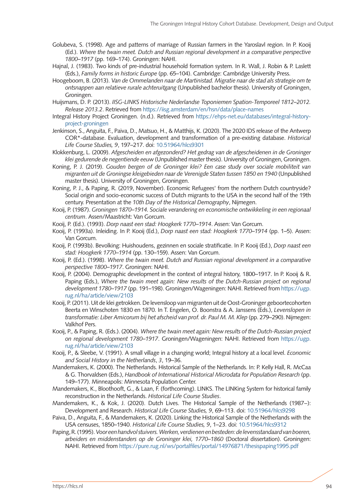- <span id="page-18-7"></span>Golubeva, S. (1998). Age and patterns of marriage of Russian farmers in the Yaroslavl region. In P. Kooij (Ed.). *Where the twain meet. Dutch and Russian regional development in a comparative perspective 1800–1917* (pp. 169–174). Groningen: NAHI.
- Hajnal, J. (1983). Two kinds of pre-industrial household formation system. In R. Wall, J. Robin & P. Laslett (Eds.), *Family forms in historic Europe* (pp. 65–104). Cambridge: Cambridge University Press.
- <span id="page-18-11"></span>Hoogeboom, B. (2013). *Van de Ommelanden naar de Martinistad. Migratie naar de stad als strategie om te ontsnappen aan relatieve rurale achteruitgang* (Unpublished bachelor thesis). University of Groningen, Groningen.
- <span id="page-18-18"></span>Huijsmans, D. P. (2013). *IISG-LINKS Historische Nederlandse Toponiemen Spation-Temporeel 1812–2012. Release 2013.2*. Retrieved from <https://iisg.amsterdam/en/hsn/data/place-names>
- Integral History Project Groningen. (n.d.). Retrieved from [https://ehps-net.eu/databases/integral-history](https://ehps-net.eu/databases/integral-history-project-groningen)[project-groningen](https://ehps-net.eu/databases/integral-history-project-groningen)
- <span id="page-18-16"></span>Jenkinson, S., Anguita, F., Paiva, D., Matsuo, H., & Matthijs, K. (2020). The 2020 IDS release of the Antwerp COR\*-database. Evaluation, development and transformation of a pre-existing database. *Historical Life Course Studies, 9*, 197–217. doi: [10.51964/hlcs9301](https://doi.org/10.51964/hlcs9301)
- <span id="page-18-10"></span>Klokkenburg, L. (2009). *Afgescheiden en afgezonderd? Het gedrag van de afgescheidenen in de Groninger klei gedurende de negentiende eeuw* (Unpublished master thesis). University of Groningen, Groningen.
- <span id="page-18-12"></span>Koning, P. J. (2019). *Gouden bergen of de Groninger klei? Een case study over sociale mobiliteit van migranten uit de Groningse kleigebieden naar de Verenigde Staten tussen 1850 en 1940* (Unpublished master thesis). University of Groningen, Groningen.
- <span id="page-18-15"></span>Koning, P. J., & Paping, R. (2019, November). Economic Refugees' from the northern Dutch countryside? Social origin and socio-economic success of Dutch migrants to the USA in the second half of the 19th century. Presentation at the *10th Day of the Historical Demography*, Nijmegen.
- <span id="page-18-3"></span>Kooij, P. (1987). *Groningen 1870–1914. Sociale verandering en economische ontwikkeling in een regionaal centrum*. Assen/Maastricht: Van Gorcum.
- <span id="page-18-1"></span>Kooij, P. (Ed.). (1993). *Dorp naast een stad: Hoogkerk 1770–1914*. Assen: Van Gorcum.
- <span id="page-18-0"></span>Kooij, P. (1993a). Inleiding. In P. Kooij (Ed.), *Dorp naast een stad: Hoogkerk 1770–1914* (pp. 1–5). Assen: Van Gorcum.
- <span id="page-18-4"></span>Kooij, P. (1993b). Bevolking: Huishoudens, gezinnen en sociale stratificatie. In P. Kooij (Ed.), *Dorp naast een stad: Hoogkerk 1770–1914* (pp. 130–159). Assen: Van Gorcum.
- <span id="page-18-5"></span>Kooij, P. (Ed.). (1998). *Where the twain meet. Dutch and Russian regional development in a comparative perspective 1800–1917*. Groningen: NAHI.
- <span id="page-18-19"></span>Kooij, P. (2004). Demographic development in the context of integral history, 1800–1917. In P. Kooij & R. Paping (Eds.), *Where the twain meet again: New results of the Dutch-Russian project on regional development 1780–1917* (pp. 191–198). Groningen/Wageningen: NAHI. Retrieved from [https://ugp.](https://ugp.rug.nl/ha/article/view/2103) [rug.nl/ha/article/view/2103](https://ugp.rug.nl/ha/article/view/2103)
- <span id="page-18-20"></span>Kooij, P. (2011). Uit de klei getrokken. De levensloop van migranten uit de Oost-Groninger geboortecohorten Beerta en Winschoten 1830 en 1870. In T. Engelen, O. Boonstra & A. Janssens (Eds.), *Levenslopen in transformatie: Liber Amicorum bij het afscheid van prof. dr. Paul M. M. Klep* (pp. 279–290). Nijmegen: Valkhof Pers.
- <span id="page-18-6"></span>Kooij, P., & Paping, R. (Eds.). (2004). *Where the twain meet again: New results of the Dutch-Russian project on regional development 1780–1917*. Groningen/Wageningen: NAHI. Retrieved from [https://ugp.](https://ugp.rug.nl/ha/article/view/2103) [rug.nl/ha/article/view/2103](https://ugp.rug.nl/ha/article/view/2103)
- <span id="page-18-14"></span>Kooij, P., & Sleebe, V. (1991). A small village in a changing world; Integral history at a local level. *Economic and Social History in the Netherlands*, *3*, 19–36.
- Mandemakers, K. (2000). The Netherlands. Historical Sample of the Netherlands. In: P. Kelly Hall, R. McCaa & G. Thorvaldsen (Eds.), *Handbook of International Historical Microdata for Population Research* (pp. 149–177). Minneapolis: Minnesota Population Center.
- <span id="page-18-9"></span>Mandemakers, K., Bloothooft, G., & Laan, F. (forthcoming). LINKS. The LINKing System for historical family reconstruction in the Netherlands. *Historical Life Course Studies*.
- <span id="page-18-17"></span>Mandemakers, K., & Kok, J. (2020). Dutch Lives. The Historical Sample of the Netherlands (1987−): Development and Research. *Historical Life Course Studies, 9*, 69–113. doi: [10.51964/hlcs9298](https://doi.org/10.51964/hlcs9298)
- <span id="page-18-13"></span>Paiva, D., Anguita, F., & Mandemakers, K. (2020). Linking the Historical Sample of the Netherlands with the USA censuses, 1850–1940. *Historical Life Course Studies, 9*, 1–23. doi: [10.51964/hlcs9312](https://doi.org/10.51964/hlcs9312)
- <span id="page-18-8"></span><span id="page-18-2"></span>Paping, R. (1995). *Voor een handvol stuivers. Werken, verdienen en besteden: de levensstandaard van boeren, arbeiders en middenstanders op de Groninger klei, 1770–1860* (Doctoral dissertation). Groningen: NAHI. Retrieved from<https://pure.rug.nl/ws/portalfiles/portal/14976871/thesispaping1995.pdf>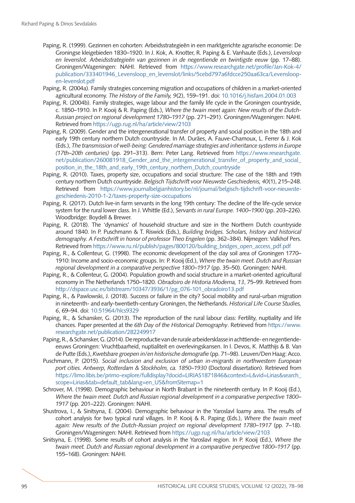- Paping, R. (1999). Gezinnen en cohorten: Arbeidsstrategieën in een marktgerichte agrarische economie: De Groningse kleigebieden 1830–1920. In J. Kok, A. Knotter, R. Paping & E. Vanhaute (Eds.), *Levensloop en levenslot. Arbeidsstrategieën van gezinnen in de negentiende en twintigste eeuw* (pp. 17–88). Groningen/Wageningen: NAHI. Retrieved from [https://www.researchgate.net/profile/Jan-Kok-4/](https://www.researchgate.net/profile/Jan-Kok-4/publication/333401946_Levensloop_en_levenslot/links/5cebd797a6fdcce250aa63ca/Levensloop-en-levenslot.pdf) [publication/333401946\\_Levensloop\\_en\\_levenslot/links/5cebd797a6fdcce250aa63ca/Levensloop](https://www.researchgate.net/profile/Jan-Kok-4/publication/333401946_Levensloop_en_levenslot/links/5cebd797a6fdcce250aa63ca/Levensloop-en-levenslot.pdf)[en-levenslot.pdf](https://www.researchgate.net/profile/Jan-Kok-4/publication/333401946_Levensloop_en_levenslot/links/5cebd797a6fdcce250aa63ca/Levensloop-en-levenslot.pdf)
- <span id="page-19-10"></span>Paping, R. (2004a). Family strategies concerning migration and occupations of children in a market-oriented agricultural economy. *The History of the Family, 9*(2), 159–191. doi: [10.1016/j.hisfam.2004.01.003](https://doi.org/10.1016/j.hisfam.2004.01.003)
- <span id="page-19-9"></span>Paping, R. (2004b). Family strategies, wage labour and the family life cycle in the Groningen countryside, c. 1850–1910. In P. Kooij & R. Paping (Eds.), *Where the twain meet again: New results of the Dutch-Russian project on regional development 1780–1917* (pp. 271–291). Groningen/Wageningen: NAHI. Retrieved from<https://ugp.rug.nl/ha/article/view/2103>
- <span id="page-19-6"></span>Paping, R. (2009). Gender and the intergenerational transfer of property and social position in the 18th and early 19th century northern Dutch countryside. In M. Durães, A. Fauve-Chamoux, L. Ferrer & J. Kok (Eds.), *The transmission of well-being: Gendered marriage strategies and inheritance systems in Europe (17th–20th centuries)* (pp. 291–313). Bern: Peter Lang. Retrieved from [https://www.researchgate.](https://www.researchgate.net/publication/260081918_Gender_and_the_intergenerational_transfer_of_property_and_social_position_in_the_18th_and_early_19th_century_northern_Dutch_countryside) [net/publication/260081918\\_Gender\\_and\\_the\\_intergenerational\\_transfer\\_of\\_property\\_and\\_social\\_](https://www.researchgate.net/publication/260081918_Gender_and_the_intergenerational_transfer_of_property_and_social_position_in_the_18th_and_early_19th_century_northern_Dutch_countryside) position in the 18th and early 19th century northern Dutch countryside
- <span id="page-19-1"></span>Paping, R. (2010). Taxes, property size, occupations and social structure: The case of the 18th and 19th century northern Dutch countryside. *Belgisch Tijdschrift voor Nieuwste Geschiedenis, 40*(1), 215–248. Retrieved from [https://www.journalbelgianhistory.be/nl/journal/belgisch-tijdschrift-voor-nieuwste](https://www.journalbelgianhistory.be/nl/journal/belgisch-tijdschrift-voor-nieuwste-geschiedenis-2010-1-2/taxes-property-size-occupations)[geschiedenis-2010-1-2/taxes-property-size-occupations](https://www.journalbelgianhistory.be/nl/journal/belgisch-tijdschrift-voor-nieuwste-geschiedenis-2010-1-2/taxes-property-size-occupations)
- <span id="page-19-11"></span>Paping, R. (2017). Dutch live-in farm servants in the long 19th century: The decline of the life-cycle service system for the rural lower class. In J. Whittle (Ed.), *Servants in rural Europe. 1400–1900* (pp. 203–226). Woodbridge: Boydell & Brewer.
- <span id="page-19-3"></span>Paping, R. (2018). The 'dynamics' of household structure and size in the Northern Dutch countryside around 1840. In P. Puschmann & T. Riswick (Eds.), *Building bridges. Scholars, history and historical demography. A Festschrift in honor of professor Theo Engelen* (pp. 362–384). Nijmegen: Valkhof Pers. Retrieved from [https://www.ru.nl/publish/pages/800120/building\\_bridges\\_open\\_access\\_pdf.pdf](https://www.ru.nl/publish/pages/800120/building_bridges_open_access_pdf.pdf)
- <span id="page-19-2"></span>Paping, R., & Collenteur, G. (1998). The economic development of the clay soil area of Groningen 1770– 1910: Income and socio-economic groups. In: P. Kooij (Ed.), *Where the twain meet. Dutch and Russian regional development in a comparative perspective 1800–1917* (pp. 35–50). Groningen: NAHI.
- <span id="page-19-7"></span>Paping, R., & Collenteur, G. (2004). Population growth and social structure in a market-oriented agricultural economy in The Netherlands 1750–1820. *Obradoiro de Historia Moderna, 13*, 75–99. Retrieved from [http://dspace.usc.es/bitstream/10347/3936/1/pg\\_076-101\\_obradoiro13.pdf](http://dspace.usc.es/bitstream/10347/3936/1/pg_076-101_obradoiro13.pdf)
- <span id="page-19-12"></span>Paping, R., & Pawlowski, J. (2018). Success or failure in the city? Social mobility and rural-urban migration in nineteenth- and early-twentieth-century Groningen, the Netherlands. *Historical Life Course Studies, 6*, 69–94. doi: [10.51964/hlcs9329](https://doi.org/10.51964/hlcs9329)
- <span id="page-19-8"></span>Paping, R., & Schansker, G. (2013). The reproduction of the rural labour class: Fertility, nuptiality and life chances. Paper presented at the *6th Day of the Historical Demography*. Retrieved from [https://www.](https://www.researchgate.net/publication/282249917) [researchgate.net/publication/282249917](https://www.researchgate.net/publication/282249917)
- <span id="page-19-14"></span>Paping, R., & Schansker, G. (2014). De reproductie van de rurale arbeidersklasse in achttiende- en negentiendeeeuws Groningen: Vruchtbaarheid, nuptialiteit en overlevingskansen. In I. Devos, K. Matthijs & B. Van de Putte (Eds.), *Kwetsbare groepen in/en historische demografie* (pp. 71–98). Leuven/Den Haag: Acco.
- <span id="page-19-13"></span>Puschmann, P. (2015). *Social inclusion and exclusion of urban in-migrants in northwestern European port cities. Antwerp, Rotterdam & Stockholm, ca. 1850–1930* (Doctoral dissertation). Retrieved from [https://limo.libis.be/primo-explore/fulldisplay?docid=LIRIAS1871846&context=L&vid=Lirias&search\\_](https://limo.libis.be/primo-explore/fulldisplay?docid=LIRIAS1871846&context=L&vid=Lirias&search_scope=Lirias&tab=default_tab&lang=en_US&fromSitemap=1) [scope=Lirias&tab=default\\_tab&lang=en\\_US&fromSitemap=1](https://limo.libis.be/primo-explore/fulldisplay?docid=LIRIAS1871846&context=L&vid=Lirias&search_scope=Lirias&tab=default_tab&lang=en_US&fromSitemap=1)
- <span id="page-19-0"></span>Schrover, M. (1998). Demographic behaviour in North Brabant in the nineteenth century. In P. Kooij (Ed.), *Where the twain meet. Dutch and Russian regional development in a comparative perspective 1800– 1917* (pp. 201–222). Groningen: NAHI.
- <span id="page-19-4"></span>Shustrova, I., & Sinitsyna, E. (2004). Demographic behaviour in the Yaroslavl loamy area. The results of cohort analysis for two typical rural villages. In P. Kooij & R. Paping (Eds.), *Where the twain meet again: New results of the Dutch-Russian project on regional development 1780–1917* (pp. 7–18). Groningen/Wageningen: NAHI. Retrieved from <https://ugp.rug.nl/ha/article/view/2103>
- <span id="page-19-5"></span>Sinitsyna, E. (1998). Some results of cohort analysis in the Yaroslavl region. In P. Kooij (Ed.), *Where the twain meet. Dutch and Russian regional development in a comparative perspective 1800–1917* (pp. 155–168). Groningen: NAHI.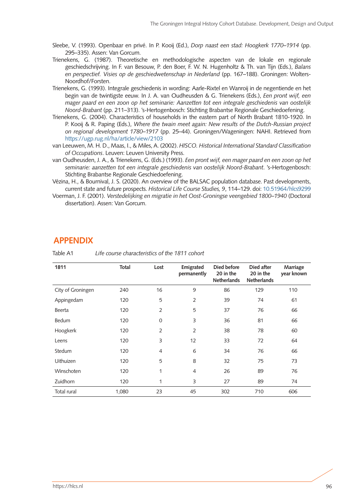- <span id="page-20-5"></span>Sleebe, V. (1993). Openbaar en privé. In P. Kooij (Ed.), *Dorp naast een stad: Hoogkerk 1770–1914* (pp. 295–335). Assen: Van Gorcum.
- <span id="page-20-0"></span>Trienekens, G. (1987). Theoretische en methodologische aspecten van de lokale en regionale geschiedschrijving. In F. van Besouw, P. den Boer, F. W. N. Hugenholtz & Th. van Tijn (Eds.), *Balans en perspectief. Visies op de geschiedwetenschap in Nederland* (pp. 167–188). Groningen: Wolters-Noordhof/Forsten.
- <span id="page-20-1"></span>Trienekens, G. (1993). Integrale geschiedenis in wording: Aarle-Rixtel en Wanroij in de negentiende en het begin van de twintigste eeuw. In J. A. van Oudheusden & G. Trienekens (Eds.), *Een pront wijf, een mager paard en een zoon op het seminarie: Aanzetten tot een integrale geschiedenis van oostelijk Noord-Brabant* (pp. 211–313). 's-Hertogenbosch: Stichting Brabantse Regionale Geschiedoefening.
- <span id="page-20-3"></span>Trienekens, G. (2004). Characteristics of households in the eastern part of North Brabant 1810-1920. In P. Kooij & R. Paping (Eds.), *Where the twain meet again: New results of the Dutch-Russian project on regional development 1780–1917* (pp. 25–44). Groningen/Wageningen: NAHI. Retrieved from <https://ugp.rug.nl/ha/article/view/2103>
- <span id="page-20-6"></span>van Leeuwen, M. H. D., Maas, I., & Miles, A. (2002). *HISCO. Historical International Standard Classification of Occupations*. Leuven: Leuven University Press.
- <span id="page-20-2"></span>van Oudheusden, J. A., & Trienekens, G. (Eds.) (1993). *Een pront wijf, een mager paard en een zoon op het seminarie: aanzetten tot een integrale geschiedenis van oostelijk Noord-Brabant*. 's-Hertogenbosch: Stichting Brabantse Regionale Geschiedoefening.
- Vézina, H., & Bournival, J. S. (2020). An overview of the BALSAC population database. Past developments, current state and future prospects. *Historical Life Course Studies, 9*, 114–129. doi: [10.51964/hlcs9299](https://doi.org/10.51964/hlcs9299)
- <span id="page-20-4"></span>Voerman, J. F. (2001). *Verstedelijking en migratie in het Oost-Groningse veengebied 1800–1940* (Doctoral dissertation). Assen: Van Gorcum.

## **APPENDIX**

| 1811              | <b>Total</b> | Lost           | Emigrated<br>permanently | Died before<br>20 in the<br><b>Netherlands</b> | Died after<br>20 in the<br><b>Netherlands</b> | Marriage<br>year known |
|-------------------|--------------|----------------|--------------------------|------------------------------------------------|-----------------------------------------------|------------------------|
| City of Groningen | 240          | 16             | 9                        | 86                                             | 129                                           | 110                    |
| Appingedam        | 120          | 5              | $\overline{2}$           | 39                                             | 74                                            | 61                     |
| Beerta            | 120          | $\overline{2}$ | 5                        | 37                                             | 76                                            | 66                     |
| <b>Bedum</b>      | 120          | $\Omega$       | 3                        | 36                                             | 81                                            | 66                     |
| Hoogkerk          | 120          | $\overline{2}$ | $\overline{2}$           | 38                                             | 78                                            | 60                     |
| Leens             | 120          | 3              | 12                       | 33                                             | 72                                            | 64                     |
| Stedum            | 120          | 4              | 6                        | 34                                             | 76                                            | 66                     |
| Uithuizen         | 120          | 5              | 8                        | 32                                             | 75                                            | 73                     |
| Winschoten        | 120          | 1              | $\overline{4}$           | 26                                             | 89                                            | 76                     |
| Zuidhorn          | 120          | 1              | 3                        | 27                                             | 89                                            | 74                     |
| Total rural       | 1,080        | 23             | 45                       | 302                                            | 710                                           | 606                    |

Table A1 *Life course characteristics of the 1811 cohort*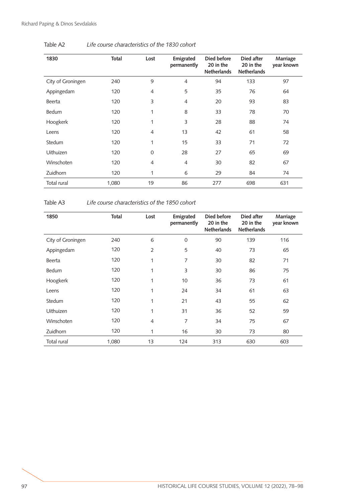| 1830              | Total | Lost           | Emigrated<br>permanently | Died before<br>20 in the<br><b>Netherlands</b> | Died after<br>20 in the<br><b>Netherlands</b> | Marriage<br>year known |
|-------------------|-------|----------------|--------------------------|------------------------------------------------|-----------------------------------------------|------------------------|
| City of Groningen | 240   | 9              | $\overline{4}$           | 94                                             | 133                                           | 97                     |
| Appingedam        | 120   | $\overline{4}$ | 5                        | 35                                             | 76                                            | 64                     |
| Beerta            | 120   | 3              | 4                        | 20                                             | 93                                            | 83                     |
| Bedum             | 120   | 1              | 8                        | 33                                             | 78                                            | 70                     |
| Hoogkerk          | 120   | $\mathbf{1}$   | 3                        | 28                                             | 88                                            | 74                     |
| Leens             | 120   | $\overline{4}$ | 13                       | 42                                             | 61                                            | 58                     |
| Stedum            | 120   | 1              | 15                       | 33                                             | 71                                            | 72                     |
| <b>Uithuizen</b>  | 120   | $\Omega$       | 28                       | 27                                             | 65                                            | 69                     |
| Winschoten        | 120   | $\overline{4}$ | $\overline{4}$           | 30                                             | 82                                            | 67                     |
| Zuidhorn          | 120   | 1              | 6                        | 29                                             | 84                                            | 74                     |
| Total rural       | 1,080 | 19             | 86                       | 277                                            | 698                                           | 631                    |

Table A2 *Life course characteristics of the 1830 cohort*

Table A3 *Life course characteristics of the 1850 cohort*

| 1850              | Total | Lost           | Emigrated<br>permanently | Died before<br>20 in the<br><b>Netherlands</b> | Died after<br>20 in the<br><b>Netherlands</b> | Marriage<br>year known |
|-------------------|-------|----------------|--------------------------|------------------------------------------------|-----------------------------------------------|------------------------|
| City of Groningen | 240   | 6              | $\mathbf 0$              | 90                                             | 139                                           | 116                    |
| Appingedam        | 120   | $\overline{2}$ | 5                        | 40                                             | 73                                            | 65                     |
| Beerta            | 120   | $\mathbf{1}$   | 7                        | 30                                             | 82                                            | 71                     |
| Bedum             | 120   | 1              | 3                        | 30                                             | 86                                            | 75                     |
| Hoogkerk          | 120   | 1              | 10                       | 36                                             | 73                                            | 61                     |
| Leens             | 120   | 1              | 24                       | 34                                             | 61                                            | 63                     |
| Stedum            | 120   | 1              | 21                       | 43                                             | 55                                            | 62                     |
| <b>Uithuizen</b>  | 120   | 1              | 31                       | 36                                             | 52                                            | 59                     |
| Winschoten        | 120   | $\overline{4}$ | 7                        | 34                                             | 75                                            | 67                     |
| <b>Zuidhorn</b>   | 120   | 1              | 16                       | 30                                             | 73                                            | 80                     |
| Total rural       | 1,080 | 13             | 124                      | 313                                            | 630                                           | 603                    |